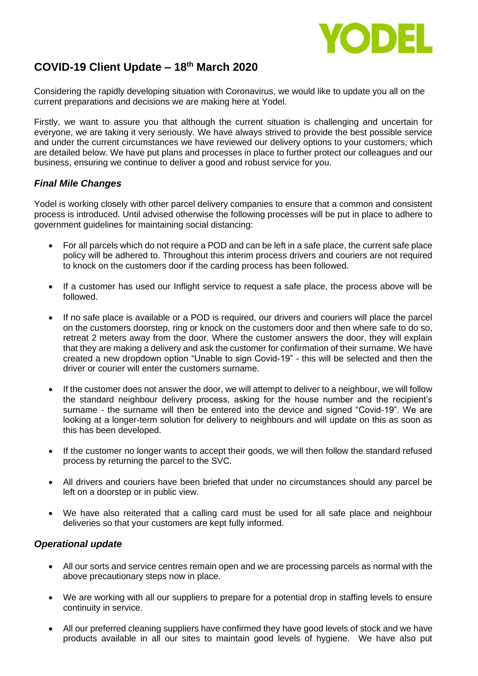

## **COVID-19 Client Update – 18th March 2020**

Considering the rapidly developing situation with Coronavirus, we would like to update you all on the current preparations and decisions we are making here at Yodel.

Firstly, we want to assure you that although the current situation is challenging and uncertain for everyone, we are taking it very seriously. We have always strived to provide the best possible service and under the current circumstances we have reviewed our delivery options to your customers, which are detailed below. We have put plans and processes in place to further protect our colleagues and our business, ensuring we continue to deliver a good and robust service for you.

## *Final Mile Changes*

Yodel is working closely with other parcel delivery companies to ensure that a common and consistent process is introduced. Until advised otherwise the following processes will be put in place to adhere to government guidelines for maintaining social distancing:

- For all parcels which do not require a POD and can be left in a safe place, the current safe place policy will be adhered to. Throughout this interim process drivers and couriers are not required to knock on the customers door if the carding process has been followed.
- If a customer has used our Inflight service to request a safe place, the process above will be followed.
- If no safe place is available or a POD is required, our drivers and couriers will place the parcel on the customers doorstep, ring or knock on the customers door and then where safe to do so, retreat 2 meters away from the door. Where the customer answers the door, they will explain that they are making a delivery and ask the customer for confirmation of their surname. We have created a new dropdown option "Unable to sign Covid-19" - this will be selected and then the driver or courier will enter the customers surname.
- If the customer does not answer the door, we will attempt to deliver to a neighbour, we will follow the standard neighbour delivery process, asking for the house number and the recipient's surname - the surname will then be entered into the device and signed "Covid-19". We are looking at a longer-term solution for delivery to neighbours and will update on this as soon as this has been developed.
- If the customer no longer wants to accept their goods, we will then follow the standard refused process by returning the parcel to the SVC.
- All drivers and couriers have been briefed that under no circumstances should any parcel be left on a doorstep or in public view.
- We have also reiterated that a calling card must be used for all safe place and neighbour deliveries so that your customers are kept fully informed.

## *Operational update*

- All our sorts and service centres remain open and we are processing parcels as normal with the above precautionary steps now in place.
- We are working with all our suppliers to prepare for a potential drop in staffing levels to ensure continuity in service.
- All our preferred cleaning suppliers have confirmed they have good levels of stock and we have products available in all our sites to maintain good levels of hygiene. We have also put